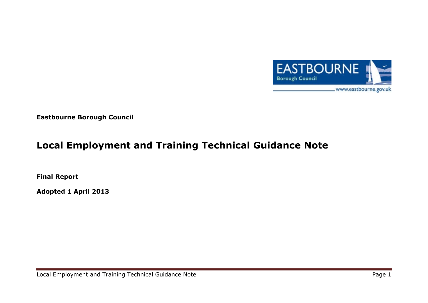

**Eastbourne Borough Council**

# **Local Employment and Training Technical Guidance Note**

**Final Report**

**Adopted 1 April 2013**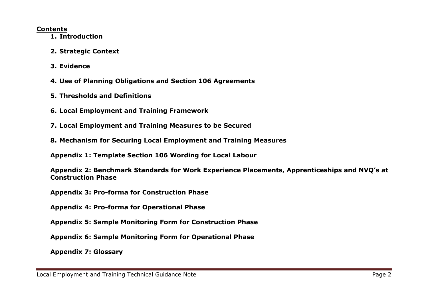#### **Contents**

- **1. Introduction**
- **2. Strategic Context**
- **3. Evidence**
- **4. Use of Planning Obligations and Section 106 Agreements**
- **5. Thresholds and Definitions**
- **6. Local Employment and Training Framework**
- **7. Local Employment and Training Measures to be Secured**
- **8. Mechanism for Securing Local Employment and Training Measures**

**Appendix 1: Template Section 106 Wording for Local Labour**

**Appendix 2: Benchmark Standards for Work Experience Placements, Apprenticeships and NVQ's at Construction Phase**

**Appendix 3: Pro-forma for Construction Phase**

**Appendix 4: Pro-forma for Operational Phase**

**Appendix 5: Sample Monitoring Form for Construction Phase**

**Appendix 6: Sample Monitoring Form for Operational Phase**

**Appendix 7: Glossary**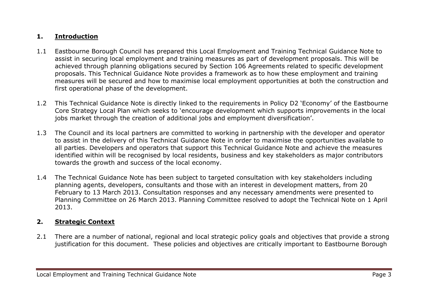## **1. Introduction**

- 1.1 Eastbourne Borough Council has prepared this Local Employment and Training Technical Guidance Note to assist in securing local employment and training measures as part of development proposals. This will be achieved through planning obligations secured by Section 106 Agreements related to specific development proposals. This Technical Guidance Note provides a framework as to how these employment and training measures will be secured and how to maximise local employment opportunities at both the construction and first operational phase of the development.
- 1.2 This Technical Guidance Note is directly linked to the requirements in Policy D2 'Economy' of the Eastbourne Core Strategy Local Plan which seeks to 'encourage development which supports improvements in the local jobs market through the creation of additional jobs and employment diversification'.
- 1.3 The Council and its local partners are committed to working in partnership with the developer and operator to assist in the delivery of this Technical Guidance Note in order to maximise the opportunities available to all parties. Developers and operators that support this Technical Guidance Note and achieve the measures identified within will be recognised by local residents, business and key stakeholders as major contributors towards the growth and success of the local economy.
- 1.4 The Technical Guidance Note has been subject to targeted consultation with key stakeholders including planning agents, developers, consultants and those with an interest in development matters, from 20 February to 13 March 2013. Consultation responses and any necessary amendments were presented to Planning Committee on 26 March 2013. Planning Committee resolved to adopt the Technical Note on 1 April 2013.

## **2. Strategic Context**

2.1 There are a number of national, regional and local strategic policy goals and objectives that provide a strong justification for this document. These policies and objectives are critically important to Eastbourne Borough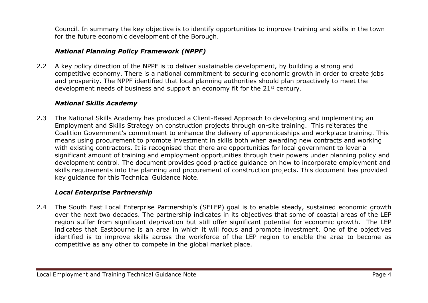Council. In summary the key objective is to identify opportunities to improve training and skills in the town for the future economic development of the Borough.

## *National Planning Policy Framework (NPPF)*

2.2 A key policy direction of the NPPF is to deliver sustainable development, by building a strong and competitive economy. There is a national commitment to securing economic growth in order to create jobs and prosperity. The NPPF identified that local planning authorities should plan proactively to meet the development needs of business and support an economy fit for the 21<sup>st</sup> century.

#### *National Skills Academy*

2.3 The National Skills Academy has produced a Client-Based Approach to developing and implementing an Employment and Skills Strategy on construction projects through on-site training. This reiterates the Coalition Government's commitment to enhance the delivery of apprenticeships and workplace training. This means using procurement to promote investment in skills both when awarding new contracts and working with existing contractors. It is recognised that there are opportunities for local government to lever a significant amount of training and employment opportunities through their powers under planning policy and development control. The document provides good practice guidance on how to incorporate employment and skills requirements into the planning and procurement of construction projects. This document has provided key guidance for this Technical Guidance Note.

#### *Local Enterprise Partnership*

2.4 The South East Local Enterprise Partnership's (SELEP) goal is to enable steady, sustained economic growth over the next two decades. The partnership indicates in its objectives that some of coastal areas of the LEP region suffer from significant deprivation but still offer significant potential for economic growth. The LEP indicates that Eastbourne is an area in which it will focus and promote investment. One of the objectives identified is to improve skills across the workforce of the LEP region to enable the area to become as competitive as any other to compete in the global market place.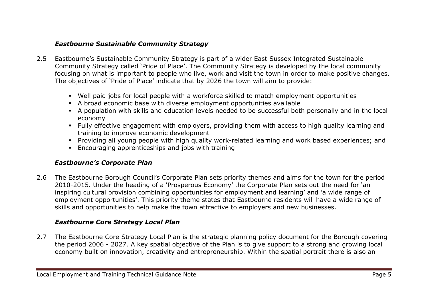## *Eastbourne Sustainable Community Strategy*

- 2.5 Eastbourne's Sustainable Community Strategy is part of a wider East Sussex Integrated Sustainable Community Strategy called 'Pride of Place'. The Community Strategy is developed by the local community focusing on what is important to people who live, work and visit the town in order to make positive changes. The objectives of 'Pride of Place' indicate that by 2026 the town will aim to provide:
	- Well paid jobs for local people with a workforce skilled to match employment opportunities
	- A broad economic base with diverse employment opportunities available
	- A population with skills and education levels needed to be successful both personally and in the local economy
	- Fully effective engagement with employers, providing them with access to high quality learning and training to improve economic development
	- Providing all young people with high quality work-related learning and work based experiences; and
	- Encouraging apprenticeships and jobs with training

#### *Eastbourne's Corporate Plan*

2.6 The Eastbourne Borough Council's Corporate Plan sets priority themes and aims for the town for the period 2010-2015. Under the heading of a 'Prosperous Economy' the Corporate Plan sets out the need for 'an inspiring cultural provision combining opportunities for employment and learning' and 'a wide range of employment opportunities'. This priority theme states that Eastbourne residents will have a wide range of skills and opportunities to help make the town attractive to employers and new businesses.

## *Eastbourne Core Strategy Local Plan*

2.7 The Eastbourne Core Strategy Local Plan is the strategic planning policy document for the Borough covering the period 2006 - 2027. A key spatial objective of the Plan is to give support to a strong and growing local economy built on innovation, creativity and entrepreneurship. Within the spatial portrait there is also an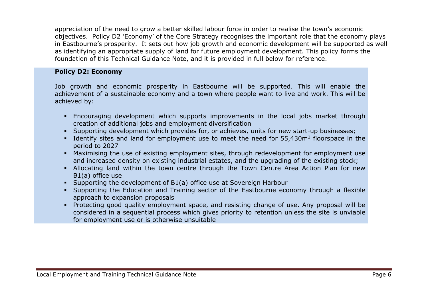appreciation of the need to grow a better skilled labour force in order to realise the town's economic objectives. Policy D2 'Economy' of the Core Strategy recognises the important role that the economy plays in Eastbourne's prosperity. It sets out how job growth and economic development will be supported as well as identifying an appropriate supply of land for future employment development. This policy forms the foundation of this Technical Guidance Note, and it is provided in full below for reference.

#### **Policy D2: Economy**

Job growth and economic prosperity in Eastbourne will be supported. This will enable the achievement of a sustainable economy and a town where people want to live and work. This will be achieved by:

- Encouraging development which supports improvements in the local jobs market through creation of additional jobs and employment diversification
- Supporting development which provides for, or achieves, units for new start-up businesses;
- Identify sites and land for employment use to meet the need for 55,430m<sup>2</sup> floorspace in the period to 2027
- Maximising the use of existing employment sites, through redevelopment for employment use and increased density on existing industrial estates, and the upgrading of the existing stock;
- Allocating land within the town centre through the Town Centre Area Action Plan for new B1(a) office use
- Supporting the development of B1(a) office use at Sovereign Harbour
- Supporting the Education and Training sector of the Eastbourne economy through a flexible approach to expansion proposals
- Protecting good quality employment space, and resisting change of use. Any proposal will be considered in a sequential process which gives priority to retention unless the site is unviable for employment use or is otherwise unsuitable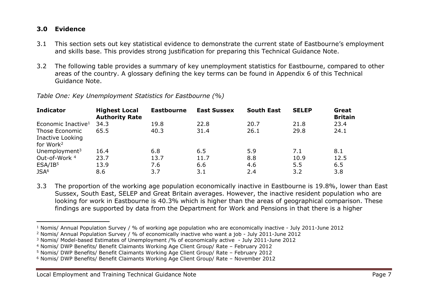#### **3.0 Evidence**

- 3.1 This section sets out key statistical evidence to demonstrate the current state of Eastbourne's employment and skills base. This provides strong justification for preparing this Technical Guidance Note.
- 3.2 The following table provides a summary of key unemployment statistics for Eastbourne, compared to other areas of the country. A glossary defining the key terms can be found in Appendix 6 of this Technical Guidance Note.

| <b>Indicator</b>                          | <b>Highest Local</b><br><b>Authority Rate</b> | <b>Eastbourne</b> | <b>East Sussex</b> | <b>South East</b> | <b>SELEP</b> | Great<br><b>Britain</b> |
|-------------------------------------------|-----------------------------------------------|-------------------|--------------------|-------------------|--------------|-------------------------|
| Economic Inactive <sup>1</sup>            | 34.3                                          | 19.8              | 22.8               | 20.7              | 21.8         | 23.4                    |
| Those Economic                            | 65.5                                          | 40.3              | 31.4               | 26.1              | 29.8         | 24.1                    |
| Inactive Looking<br>for Work <sup>2</sup> |                                               |                   |                    |                   |              |                         |
| Unemployment <sup>3</sup>                 | 16.4                                          | 6.8               | 6.5                | 5.9               | 7.1          | 8.1                     |
| Out-of-Work 4                             | 23.7                                          | 13.7              | 11.7               | 8.8               | 10.9         | 12.5                    |
| ESA/IB <sup>5</sup>                       | 13.9                                          | 7.6               | 6.6                | 4.6               | 5.5          | 6.5                     |
| JSA <sup>6</sup>                          | 8.6                                           | 3.7               | 3.1                | 2.4               | 3.2          | 3.8                     |

*Table One: Key Unemployment Statistics for Eastbourne (%)*

3.3 The proportion of the working age population economically inactive in Eastbourne is 19.8%, lower than East Sussex, South East, SELEP and Great Britain averages. However, the inactive resident population who are looking for work in Eastbourne is 40.3% which is higher than the areas of geographical comparison. These findings are supported by data from the Department for Work and Pensions in that there is a higher

<sup>1</sup> Nomis/ Annual Population Survey / % of working age population who are economically inactive - July 2011-June 2012

<sup>2</sup> Nomis/ Annual Population Survey / % of economically inactive who want a job - July 2011-June 2012

<sup>3</sup> Nomis/ Model-based Estimates of Unemployment /% of economically active - July 2011-June 2012

<sup>4</sup> Nomis/ DWP Benefits/ Benefit Claimants Working Age Client Group/ Rate – February 2012

<sup>5</sup> Nomis/ DWP Benefits/ Benefit Claimants Working Age Client Group/ Rate – February 2012

<sup>6</sup> Nomis/ DWP Benefits/ Benefit Claimants Working Age Client Group/ Rate – November 2012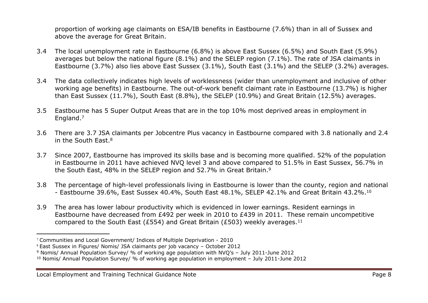proportion of working age claimants on ESA/IB benefits in Eastbourne (7.6%) than in all of Sussex and above the average for Great Britain.

- 3.4 The local unemployment rate in Eastbourne (6.8%) is above East Sussex (6.5%) and South East (5.9%) averages but below the national figure (8.1%) and the SELEP region (7.1%). The rate of JSA claimants in Eastbourne (3.7%) also lies above East Sussex (3.1%), South East (3.1%) and the SELEP (3.2%) averages.
- 3.4 The data collectively indicates high levels of worklessness (wider than unemployment and inclusive of other working age benefits) in Eastbourne. The out-of-work benefit claimant rate in Eastbourne (13.7%) is higher than East Sussex (11.7%), South East (8.8%), the SELEP (10.9%) and Great Britain (12.5%) averages.
- 3.5 Eastbourne has 5 Super Output Areas that are in the top 10% most deprived areas in employment in England.<sup>7</sup>
- 3.6 There are 3.7 JSA claimants per Jobcentre Plus vacancy in Eastbourne compared with 3.8 nationally and 2.4 in the South East.<sup>8</sup>
- 3.7 Since 2007, Eastbourne has improved its skills base and is becoming more qualified. 52% of the population in Eastbourne in 2011 have achieved NVQ level 3 and above compared to 51.5% in East Sussex, 56.7% in the South East, 48% in the SELEP region and 52.7% in Great Britain.<sup>9</sup>
- 3.8 The percentage of high-level professionals living in Eastbourne is lower than the county, region and national - Eastbourne 39.6%, East Sussex 40.4%, South East 48.1%, SELEP 42.1% and Great Britain 43.2%.<sup>10</sup>
- 3.9 The area has lower labour productivity which is evidenced in lower earnings. Resident earnings in Eastbourne have decreased from £492 per week in 2010 to £439 in 2011. These remain uncompetitive compared to the South East (£554) and Great Britain (£503) weekly averages.<sup>11</sup>

<sup>7</sup> Communities and Local Government/ Indices of Multiple Deprivation - 2010

<sup>8</sup> East Sussex in Figures/ Nomis/ JSA claimants per job vacancy – October 2012

<sup>9</sup> Nomis/ Annual Population Survey/ % of working age population with NVQ's – July 2011-June 2012

<sup>10</sup> Nomis/ Annual Population Survey/ % of working age population in employment – July 2011-June 2012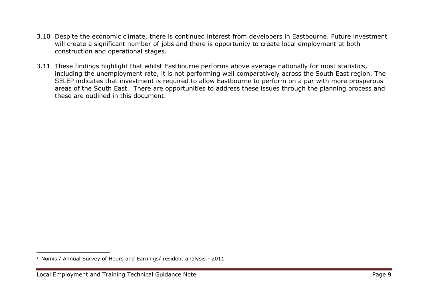- 3.10 Despite the economic climate, there is continued interest from developers in Eastbourne. Future investment will create a significant number of jobs and there is opportunity to create local employment at both construction and operational stages.
- 3.11 These findings highlight that whilst Eastbourne performs above average nationally for most statistics, including the unemployment rate, it is not performing well comparatively across the South East region. The SELEP indicates that investment is required to allow Eastbourne to perform on a par with more prosperous areas of the South East. There are opportunities to address these issues through the planning process and these are outlined in this document.

<sup>&</sup>lt;sup>11</sup> Nomis / Annual Survey of Hours and Earnings/ resident analysis - 2011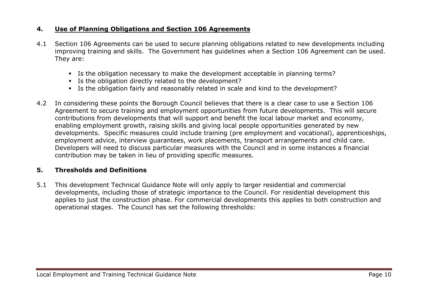#### **4. Use of Planning Obligations and Section 106 Agreements**

- 4.1 Section 106 Agreements can be used to secure planning obligations related to new developments including improving training and skills. The Government has guidelines when a Section 106 Agreement can be used. They are:
	- Is the obligation necessary to make the development acceptable in planning terms?
	- Is the obligation directly related to the development?
	- Is the obligation fairly and reasonably related in scale and kind to the development?
- 4.2 In considering these points the Borough Council believes that there is a clear case to use a Section 106 Agreement to secure training and employment opportunities from future developments. This will secure contributions from developments that will support and benefit the local labour market and economy, enabling employment growth, raising skills and giving local people opportunities generated by new developments. Specific measures could include training (pre employment and vocational), apprenticeships, employment advice, interview guarantees, work placements, transport arrangements and child care. Developers will need to discuss particular measures with the Council and in some instances a financial contribution may be taken in lieu of providing specific measures.

#### **5. Thresholds and Definitions**

5.1 This development Technical Guidance Note will only apply to larger residential and commercial developments, including those of strategic importance to the Council. For residential development this applies to just the construction phase. For commercial developments this applies to both construction and operational stages. The Council has set the following thresholds: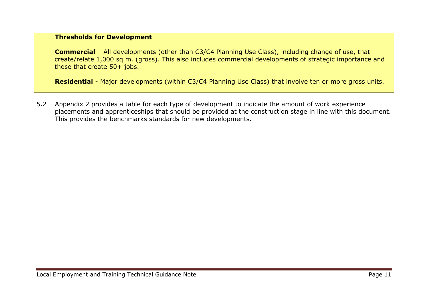#### **Thresholds for Development**

**Commercial** – All developments (other than C3/C4 Planning Use Class), including change of use, that create/relate 1,000 sq m. (gross). This also includes commercial developments of strategic importance and those that create 50+ jobs.

**Residential** - Major developments (within C3/C4 Planning Use Class) that involve ten or more gross units.

5.2 Appendix 2 provides a table for each type of development to indicate the amount of work experience placements and apprenticeships that should be provided at the construction stage in line with this document. This provides the benchmarks standards for new developments.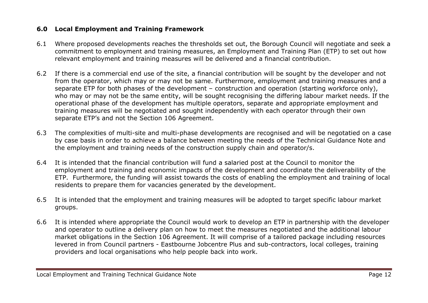#### **6.0 Local Employment and Training Framework**

- 6.1 Where proposed developments reaches the thresholds set out, the Borough Council will negotiate and seek a commitment to employment and training measures, an Employment and Training Plan (ETP) to set out how relevant employment and training measures will be delivered and a financial contribution.
- 6.2 If there is a commercial end use of the site, a financial contribution will be sought by the developer and not from the operator, which may or may not be same. Furthermore, employment and training measures and a separate ETP for both phases of the development – construction and operation (starting workforce only), who may or may not be the same entity, will be sought recognising the differing labour market needs. If the operational phase of the development has multiple operators, separate and appropriate employment and training measures will be negotiated and sought independently with each operator through their own separate ETP's and not the Section 106 Agreement.
- 6.3 The complexities of multi-site and multi-phase developments are recognised and will be negotatied on a case by case basis in order to achieve a balance between meeting the needs of the Technical Guidance Note and the employment and training needs of the construction supply chain and operator/s.
- 6.4 It is intended that the financial contribution will fund a salaried post at the Council to monitor the employment and training and economic impacts of the development and coordinate the deliverability of the ETP. Furthermore, the funding will assist towards the costs of enabling the employment and training of local residents to prepare them for vacancies generated by the development.
- 6.5 It is intended that the employment and training measures will be adopted to target specific labour market groups.
- 6.6 It is intended where appropriate the Council would work to develop an ETP in partnership with the developer and operator to outline a delivery plan on how to meet the measures negotiated and the additional labour market obligations in the Section 106 Agreement. It will comprise of a tailored package including resources levered in from Council partners - Eastbourne Jobcentre Plus and sub-contractors, local colleges, training providers and local organisations who help people back into work.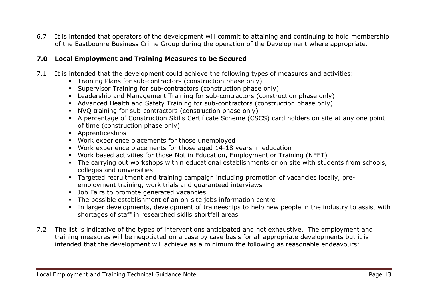6.7 It is intended that operators of the development will commit to attaining and continuing to hold membership of the Eastbourne Business Crime Group during the operation of the Development where appropriate.

#### **7.0 Local Employment and Training Measures to be Secured**

- 7.1 It is intended that the development could achieve the following types of measures and activities:
	- Training Plans for sub-contractors (construction phase only)
	- Supervisor Training for sub-contractors (construction phase only)
	- Leadership and Management Training for sub-contractors (construction phase only)
	- Advanced Health and Safety Training for sub-contractors (construction phase only)
	- NVQ training for sub-contractors (construction phase only)
	- A percentage of Construction Skills Certificate Scheme (CSCS) card holders on site at any one point of time (construction phase only)
	- **Apprenticeships**
	- Work experience placements for those unemployed
	- Work experience placements for those aged 14-18 years in education
	- Work based activities for those Not in Education, Employment or Training (NEET)
	- The carrying out workshops within educational establishments or on site with students from schools, colleges and universities
	- Targeted recruitment and training campaign including promotion of vacancies locally, preemployment training, work trials and guaranteed interviews
	- **Job Fairs to promote generated vacancies**
	- The possible establishment of an on-site jobs information centre
	- In larger developments, development of traineeships to help new people in the industry to assist with shortages of staff in researched skills shortfall areas
- 7.2 The list is indicative of the types of interventions anticipated and not exhaustive. The employment and training measures will be negotiated on a case by case basis for all appropriate developments but it is intended that the development will achieve as a minimum the following as reasonable endeavours: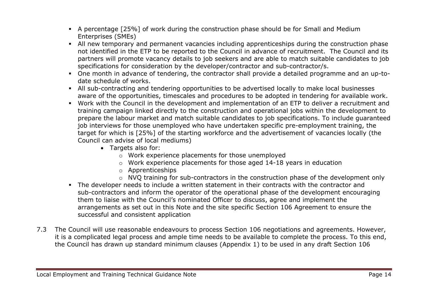- A percentage [25%] of work during the construction phase should be for Small and Medium Enterprises (SMEs)
- All new temporary and permanent vacancies including apprenticeships during the construction phase not identified in the ETP to be reported to the Council in advance of recruitment. The Council and its partners will promote vacancy details to job seekers and are able to match suitable candidates to job specifications for consideration by the developer/contractor and sub-contractor/s.
- One month in advance of tendering, the contractor shall provide a detailed programme and an up-todate schedule of works.
- All sub-contracting and tendering opportunities to be advertised locally to make local businesses aware of the opportunities, timescales and procedures to be adopted in tendering for available work.
- Work with the Council in the development and implementation of an ETP to deliver a recruitment and training campaign linked directly to the construction and operational jobs within the development to prepare the labour market and match suitable candidates to job specifications. To include guaranteed job interviews for those unemployed who have undertaken specific pre-employment training, the target for which is [25%] of the starting workforce and the advertisement of vacancies locally (the Council can advise of local mediums)
	- Targets also for:
		- o Work experience placements for those unemployed
		- o Work experience placements for those aged 14-18 years in education
		- o Apprenticeships
		- o NVQ training for sub-contractors in the construction phase of the development only
- The developer needs to include a written statement in their contracts with the contractor and sub-contractors and inform the operator of the operational phase of the development encouraging them to liaise with the Council's nominated Officer to discuss, agree and implement the arrangements as set out in this Note and the site specific Section 106 Agreement to ensure the successful and consistent application
- 7.3 The Council will use reasonable endeavours to process Section 106 negotiations and agreements. However, it is a complicated legal process and ample time needs to be available to complete the process. To this end, the Council has drawn up standard minimum clauses (Appendix 1) to be used in any draft Section 106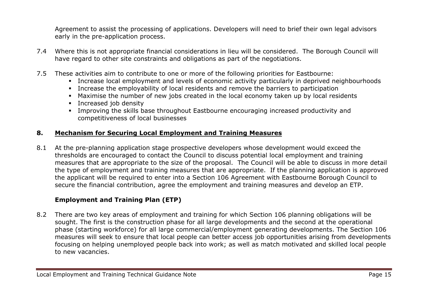Agreement to assist the processing of applications. Developers will need to brief their own legal advisors early in the pre-application process.

- 7.4 Where this is not appropriate financial considerations in lieu will be considered. The Borough Council will have regard to other site constraints and obligations as part of the negotiations.
- 7.5 These activities aim to contribute to one or more of the following priorities for Eastbourne:
	- Increase local employment and levels of economic activity particularly in deprived neighbourhoods
	- Increase the employability of local residents and remove the barriers to participation
	- Maximise the number of new jobs created in the local economy taken up by local residents
	- **Increased job density**
	- Improving the skills base throughout Eastbourne encouraging increased productivity and competitiveness of local businesses

## **8. Mechanism for Securing Local Employment and Training Measures**

8.1 At the pre-planning application stage prospective developers whose development would exceed the thresholds are encouraged to contact the Council to discuss potential local employment and training measures that are appropriate to the size of the proposal. The Council will be able to discuss in more detail the type of employment and training measures that are appropriate. If the planning application is approved the applicant will be required to enter into a Section 106 Agreement with Eastbourne Borough Council to secure the financial contribution, agree the employment and training measures and develop an ETP.

## **Employment and Training Plan (ETP)**

8.2 There are two key areas of employment and training for which Section 106 planning obligations will be sought. The first is the construction phase for all large developments and the second at the operational phase (starting workforce) for all large commercial/employment generating developments. The Section 106 measures will seek to ensure that local people can better access job opportunities arising from developments focusing on helping unemployed people back into work; as well as match motivated and skilled local people to new vacancies.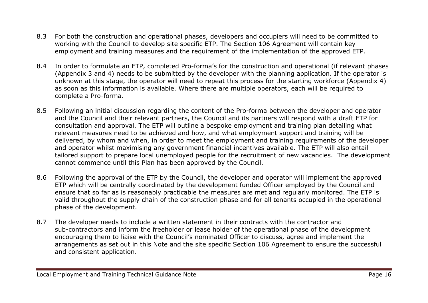- 8.3 For both the construction and operational phases, developers and occupiers will need to be committed to working with the Council to develop site specific ETP. The Section 106 Agreement will contain key employment and training measures and the requirement of the implementation of the approved ETP.
- 8.4 In order to formulate an ETP, completed Pro-forma's for the construction and operational (if relevant phases (Appendix 3 and 4) needs to be submitted by the developer with the planning application. If the operator is unknown at this stage, the operator will need to repeat this process for the starting workforce (Appendix 4) as soon as this information is available. Where there are multiple operators, each will be required to complete a Pro-forma.
- 8.5 Following an initial discussion regarding the content of the Pro-forma between the developer and operator and the Council and their relevant partners, the Council and its partners will respond with a draft ETP for consultation and approval. The ETP will outline a bespoke employment and training plan detailing what relevant measures need to be achieved and how, and what employment support and training will be delivered, by whom and when, in order to meet the employment and training requirements of the developer and operator whilst maximising any government financial incentives available. The ETP will also entail tailored support to prepare local unemployed people for the recruitment of new vacancies. The development cannot commence until this Plan has been approved by the Council.
- 8.6 Following the approval of the ETP by the Council, the developer and operator will implement the approved ETP which will be centrally coordinated by the development funded Officer employed by the Council and ensure that so far as is reasonably practicable the measures are met and regularly monitored. The ETP is valid throughout the supply chain of the construction phase and for all tenants occupied in the operational phase of the development.
- 8.7 The developer needs to include a written statement in their contracts with the contractor and sub-contractors and inform the freeholder or lease holder of the operational phase of the development encouraging them to liaise with the Council's nominated Officer to discuss, agree and implement the arrangements as set out in this Note and the site specific Section 106 Agreement to ensure the successful and consistent application.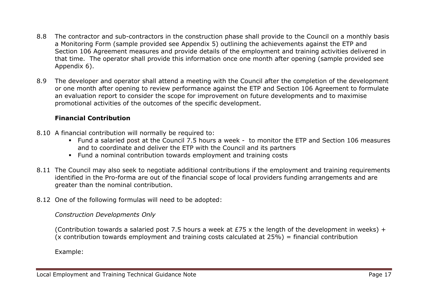- 8.8 The contractor and sub-contractors in the construction phase shall provide to the Council on a monthly basis a Monitoring Form (sample provided see Appendix 5) outlining the achievements against the ETP and Section 106 Agreement measures and provide details of the employment and training activities delivered in that time. The operator shall provide this information once one month after opening (sample provided see Appendix 6).
- 8.9 The developer and operator shall attend a meeting with the Council after the completion of the development or one month after opening to review performance against the ETP and Section 106 Agreement to formulate an evaluation report to consider the scope for improvement on future developments and to maximise promotional activities of the outcomes of the specific development.

#### **Financial Contribution**

- 8.10 A financial contribution will normally be required to:
	- Fund a salaried post at the Council 7.5 hours a week to monitor the ETP and Section 106 measures and to coordinate and deliver the ETP with the Council and its partners
	- Fund a nominal contribution towards employment and training costs
- 8.11 The Council may also seek to negotiate additional contributions if the employment and training requirements identified in the Pro-forma are out of the financial scope of local providers funding arrangements and are greater than the nominal contribution.
- 8.12 One of the following formulas will need to be adopted:

*Construction Developments Only*

(Contribution towards a salaried post 7.5 hours a week at £75 x the length of the development in weeks) +  $(x$  contribution towards employment and training costs calculated at 25%) = financial contribution

Example: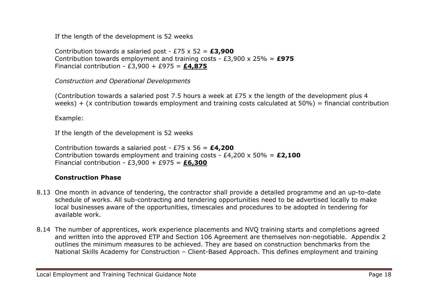If the length of the development is 52 weeks

Contribution towards a salaried post - £75 x 52 = **£3,900** Contribution towards employment and training costs - £3,900 x 25% = **£975** Financial contribution - £3,900 + £975 = **£4,875**

*Construction and Operational Developments*

(Contribution towards a salaried post 7.5 hours a week at £75 x the length of the development plus 4 weeks) + (x contribution towards employment and training costs calculated at  $50\%$ ) = financial contribution

Example:

If the length of the development is 52 weeks

Contribution towards a salaried post - £75 x 56 = **£4,200** Contribution towards employment and training costs - £4,200 x 50% = **£2,100** Financial contribution - £3,900 + £975 = **£6,300**

## **Construction Phase**

- 8.13 One month in advance of tendering, the contractor shall provide a detailed programme and an up-to-date schedule of works. All sub-contracting and tendering opportunities need to be advertised locally to make local businesses aware of the opportunities, timescales and procedures to be adopted in tendering for available work.
- 8.14 The number of apprentices, work experience placements and NVQ training starts and completions agreed and written into the approved ETP and Section 106 Agreement are themselves non-negotiable. Appendix 2 outlines the minimum measures to be achieved. They are based on construction benchmarks from the National Skills Academy for Construction – Client-Based Approach. This defines employment and training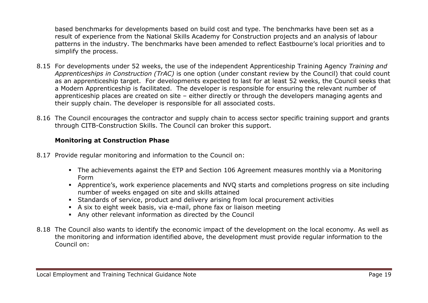based benchmarks for developments based on build cost and type. The benchmarks have been set as a result of experience from the National Skills Academy for Construction projects and an analysis of labour patterns in the industry. The benchmarks have been amended to reflect Eastbourne's local priorities and to simplify the process.

- 8.15 For developments under 52 weeks, the use of the independent Apprenticeship Training Agency *Training and Apprenticeships in Construction (TrAC)* is one option (under constant review by the Council) that could count as an apprenticeship target. For developments expected to last for at least 52 weeks, the Council seeks that a Modern Apprenticeship is facilitated. The developer is responsible for ensuring the relevant number of apprenticeship places are created on site – either directly or through the developers managing agents and their supply chain. The developer is responsible for all associated costs.
- 8.16 The Council encourages the contractor and supply chain to access sector specific training support and grants through CITB-Construction Skills. The Council can broker this support.

#### **Monitoring at Construction Phase**

- 8.17 Provide regular monitoring and information to the Council on:
	- The achievements against the ETP and Section 106 Agreement measures monthly via a Monitoring Form
	- Apprentice's, work experience placements and NVQ starts and completions progress on site including number of weeks engaged on site and skills attained
	- Standards of service, product and delivery arising from local procurement activities
	- A six to eight week basis, via e-mail, phone fax or liaison meeting
	- Any other relevant information as directed by the Council
- 8.18 The Council also wants to identify the economic impact of the development on the local economy. As well as the monitoring and information identified above, the development must provide regular information to the Council on: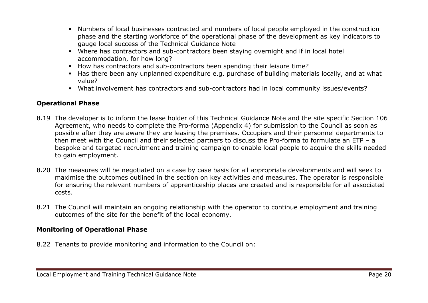- Numbers of local businesses contracted and numbers of local people employed in the construction phase and the starting workforce of the operational phase of the development as key indicators to gauge local success of the Technical Guidance Note
- Where has contractors and sub-contractors been staying overnight and if in local hotel accommodation, for how long?
- How has contractors and sub-contractors been spending their leisure time?
- Has there been any unplanned expenditure e.g. purchase of building materials locally, and at what value?
- What involvement has contractors and sub-contractors had in local community issues/events?

#### **Operational Phase**

- 8.19 The developer is to inform the lease holder of this Technical Guidance Note and the site specific Section 106 Agreement, who needs to complete the Pro-forma (Appendix 4) for submission to the Council as soon as possible after they are aware they are leasing the premises. Occupiers and their personnel departments to then meet with the Council and their selected partners to discuss the Pro-forma to formulate an ETP – a bespoke and targeted recruitment and training campaign to enable local people to acquire the skills needed to gain employment.
- 8.20 The measures will be negotiated on a case by case basis for all appropriate developments and will seek to maximise the outcomes outlined in the section on key activities and measures. The operator is responsible for ensuring the relevant numbers of apprenticeship places are created and is responsible for all associated costs.
- 8.21 The Council will maintain an ongoing relationship with the operator to continue employment and training outcomes of the site for the benefit of the local economy.

#### **Monitoring of Operational Phase**

8.22 Tenants to provide monitoring and information to the Council on: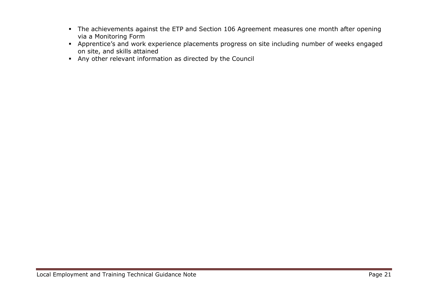- The achievements against the ETP and Section 106 Agreement measures one month after opening via a Monitoring Form
- Apprentice's and work experience placements progress on site including number of weeks engaged on site, and skills attained
- Any other relevant information as directed by the Council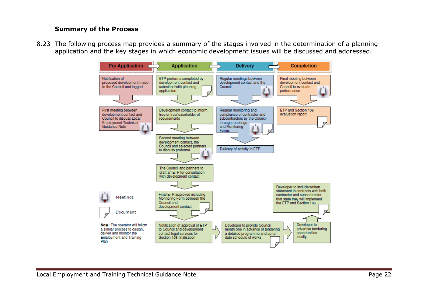#### **Summary of the Process**

8.23 The following process map provides a summary of the stages involved in the determination of a planning application and the key stages in which economic development issues will be discussed and addressed.

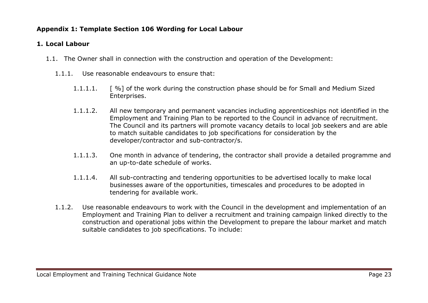## **Appendix 1: Template Section 106 Wording for Local Labour**

## **1. Local Labour**

- 1.1. The Owner shall in connection with the construction and operation of the Development:
	- 1.1.1. Use reasonable endeavours to ensure that:
		- 1.1.1.1. [ %] of the work during the construction phase should be for Small and Medium Sized Enterprises.
		- 1.1.1.2. All new temporary and permanent vacancies including apprenticeships not identified in the Employment and Training Plan to be reported to the Council in advance of recruitment. The Council and its partners will promote vacancy details to local job seekers and are able to match suitable candidates to job specifications for consideration by the developer/contractor and sub-contractor/s.
		- 1.1.1.3. One month in advance of tendering, the contractor shall provide a detailed programme and an up-to-date schedule of works.
		- 1.1.1.4. All sub-contracting and tendering opportunities to be advertised locally to make local businesses aware of the opportunities, timescales and procedures to be adopted in tendering for available work.
	- 1.1.2. Use reasonable endeavours to work with the Council in the development and implementation of an Employment and Training Plan to deliver a recruitment and training campaign linked directly to the construction and operational jobs within the Development to prepare the labour market and match suitable candidates to job specifications. To include: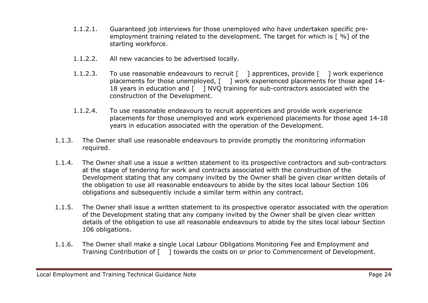- 1.1.2.1. Guaranteed job interviews for those unemployed who have undertaken specific preemployment training related to the development. The target for which is [ %] of the starting workforce.
- 1.1.2.2. All new vacancies to be advertised locally.
- 1.1.2.3. To use reasonable endeavours to recruit [ ] apprentices, provide [ ] work experience placements for those unemployed, [ ] work experienced placements for those aged 14-18 years in education and [ ] NVO training for sub-contractors associated with the construction of the Development.
- 1.1.2.4. To use reasonable endeavours to recruit apprentices and provide work experience placements for those unemployed and work experienced placements for those aged 14-18 years in education associated with the operation of the Development.
- 1.1.3. The Owner shall use reasonable endeavours to provide promptly the monitoring information required.
- 1.1.4. The Owner shall use a issue a written statement to its prospective contractors and sub-contractors at the stage of tendering for work and contracts associated with the construction of the Development stating that any company invited by the Owner shall be given clear written details of the obligation to use all reasonable endeavours to abide by the sites local labour Section 106 obligations and subsequently include a similar term within any contract.
- 1.1.5. The Owner shall issue a written statement to its prospective operator associated with the operation of the Development stating that any company invited by the Owner shall be given clear written details of the obligation to use all reasonable endeavours to abide by the sites local labour Section 106 obligations.
- 1.1.6. The Owner shall make a single Local Labour Obligations Monitoring Fee and Employment and Training Contribution of [ ] towards the costs on or prior to Commencement of Development.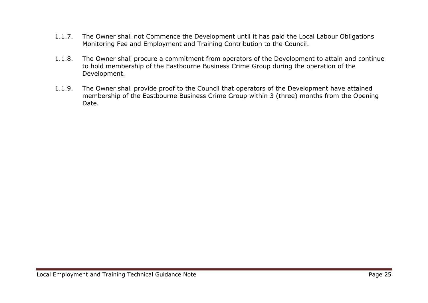- 1.1.7. The Owner shall not Commence the Development until it has paid the Local Labour Obligations Monitoring Fee and Employment and Training Contribution to the Council.
- 1.1.8. The Owner shall procure a commitment from operators of the Development to attain and continue to hold membership of the Eastbourne Business Crime Group during the operation of the Development.
- 1.1.9. The Owner shall provide proof to the Council that operators of the Development have attained membership of the Eastbourne Business Crime Group within 3 (three) months from the Opening Date.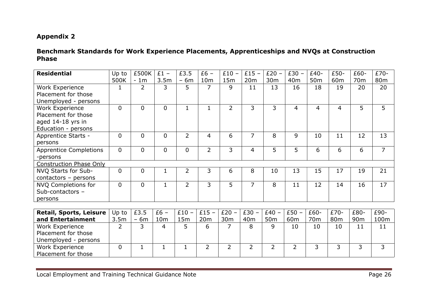#### **Benchmark Standards for Work Experience Placements, Apprenticeships and NVQs at Construction Phase**

| <b>Residential</b>             | Up to          | £500K          | $£1 -$          | £3.5           | $£6 -$          | $£10 -$         | $£15 -$         | $£20 -$         | $£30 -$         | £40-            | £50-            | £60-            | £70-            |
|--------------------------------|----------------|----------------|-----------------|----------------|-----------------|-----------------|-----------------|-----------------|-----------------|-----------------|-----------------|-----------------|-----------------|
|                                | 500K           | $-1m$          | 3.5m            | $-6m$          | 10 <sub>m</sub> | 15m             | 20m             | 30m             | 40 <sub>m</sub> | 50 <sub>m</sub> | 60 <sub>m</sub> | 70 <sub>m</sub> | 80 <sub>m</sub> |
| Work Experience                |                | $\overline{2}$ | 3               | 5              | 7               | 9               | 11              | 13              | 16              | 18              | 19              | 20              | 20              |
| Placement for those            |                |                |                 |                |                 |                 |                 |                 |                 |                 |                 |                 |                 |
| Unemployed - persons           |                |                |                 |                |                 |                 |                 |                 |                 |                 |                 |                 |                 |
| Work Experience                | $\overline{0}$ | $\Omega$       | $\overline{0}$  | $\mathbf{1}$   | $\mathbf{1}$    | $\overline{2}$  | 3               | 3               | $\overline{4}$  | 4               | 4               | 5               | 5               |
| Placement for those            |                |                |                 |                |                 |                 |                 |                 |                 |                 |                 |                 |                 |
| aged 14-18 yrs in              |                |                |                 |                |                 |                 |                 |                 |                 |                 |                 |                 |                 |
| Education - persons            |                |                |                 |                |                 |                 |                 |                 |                 |                 |                 |                 |                 |
| Apprentice Starts -            | $\overline{0}$ | $\overline{0}$ | $\overline{0}$  | $\overline{2}$ | $\overline{4}$  | 6               | $\overline{7}$  | 8               | 9               | 10              | 11              | 12              | 13              |
| persons                        |                |                |                 |                |                 |                 |                 |                 |                 |                 |                 |                 |                 |
| <b>Apprentice Completions</b>  | $\mathbf{0}$   | $\overline{0}$ | $\mathbf{0}$    | $\Omega$       | $\overline{2}$  | 3               | $\overline{4}$  | 5               | 5               | 6               | 6               | 6               | $\overline{7}$  |
| -persons                       |                |                |                 |                |                 |                 |                 |                 |                 |                 |                 |                 |                 |
| <b>Construction Phase Only</b> |                |                |                 |                |                 |                 |                 |                 |                 |                 |                 |                 |                 |
| NVQ Starts for Sub-            | $\mathbf{0}$   | 0              | 1               | $\overline{2}$ | 3               | 6               | 8               | 10              | 13              | 15              | 17              | 19              | 21              |
| contactors - persons           |                |                |                 |                |                 |                 |                 |                 |                 |                 |                 |                 |                 |
| NVQ Completions for            | $\mathbf{0}$   | $\overline{0}$ | $\mathbf{1}$    | $\overline{2}$ | 3               | 5               | 7               | 8               | 11              | 12              | 14              | 16              | 17              |
| Sub-contactors -               |                |                |                 |                |                 |                 |                 |                 |                 |                 |                 |                 |                 |
| persons                        |                |                |                 |                |                 |                 |                 |                 |                 |                 |                 |                 |                 |
|                                |                |                |                 |                |                 |                 |                 |                 |                 |                 |                 |                 |                 |
| <b>Retail, Sports, Leisure</b> | Up to          | £3.5           | $£6 -$          | $£10 -$        | $£15 -$         | $£20 -$         | $£30 -$         | $£40 -$         | $£50 -$         | £60-            | £70-            | £80-            | £90-            |
| and Entertainment              | 3.5m           | $-6m$          | 10 <sub>m</sub> | 15m            | 20m             | 30 <sub>m</sub> | 40 <sub>m</sub> | 50 <sub>m</sub> | 60 <sub>m</sub> | 70 <sub>m</sub> | 80 <sub>m</sub> | 90 <sub>m</sub> | 100m            |
| Work Experience                | $\overline{2}$ | $\overline{3}$ | $\overline{4}$  | 5              | 6               | $\overline{7}$  | 8               | 9               | 10              | 10              | 10              | 11              | 11              |
| Placement for those            |                |                |                 |                |                 |                 |                 |                 |                 |                 |                 |                 |                 |
| Unemployed - persons           |                |                |                 |                |                 |                 |                 |                 |                 |                 |                 |                 |                 |
| <b>Work Experience</b>         | $\overline{0}$ | $\mathbf{1}$   |                 | $\mathbf{1}$   | $\overline{2}$  | $\overline{2}$  | $\overline{2}$  | $\overline{2}$  | $\overline{2}$  | 3               | 3               | 3               | 3               |
| Placement for those            |                |                |                 |                |                 |                 |                 |                 |                 |                 |                 |                 |                 |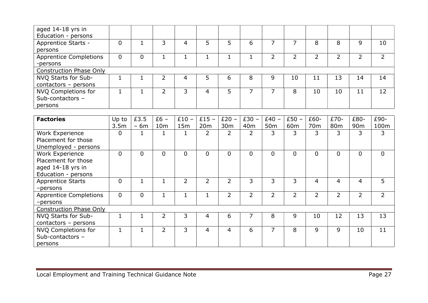| aged 14-18 yrs in              |   |   |   |   |   |   |   |    |    |    |    |    |
|--------------------------------|---|---|---|---|---|---|---|----|----|----|----|----|
| Education - persons            |   |   |   |   |   |   |   |    |    |    |    |    |
| Apprentice Starts -            |   |   | 4 |   |   | b |   |    | 8  | 8  | 9  | 10 |
| persons                        |   |   |   |   |   |   |   |    |    |    |    |    |
| <b>Apprentice Completions</b>  | 0 | 0 |   |   |   |   | ∍ | ∍  | ∍  |    | ົ  |    |
| -persons                       |   |   |   |   |   |   |   |    |    |    |    |    |
| <b>Construction Phase Only</b> |   |   |   |   |   |   |   |    |    |    |    |    |
| NVQ Starts for Sub-            |   |   | 4 |   | 6 | 8 | 9 | 10 | 11 | 13 | 14 | 14 |
| contactors $-$ persons         |   |   |   |   |   |   |   |    |    |    |    |    |
| NVQ Completions for            |   |   | 3 | 4 | 5 |   |   | 8  | 10 | 10 | 11 | 12 |
| Sub-contactors -               |   |   |   |   |   |   |   |    |    |    |    |    |
| persons                        |   |   |   |   |   |   |   |    |    |    |    |    |

| <b>Factories</b>               | Up to          | £3.5           | $£6 -$          | $£10 -$     | $£15 -$ | $£20 -$         | $£30 -$         | $£40 -$         | $£50 -$         | £60-            | £70-            | £80-            | £90-     |
|--------------------------------|----------------|----------------|-----------------|-------------|---------|-----------------|-----------------|-----------------|-----------------|-----------------|-----------------|-----------------|----------|
|                                | 3.5m           | $-6m$          | 10 <sub>m</sub> | 15m         | 20m     | 30 <sub>m</sub> | 40 <sub>m</sub> | 50 <sub>m</sub> | 60 <sub>m</sub> | 70 <sub>m</sub> | 80 <sub>m</sub> | 90 <sub>m</sub> | 100m     |
| Work Experience                | 0              | 1              |                 |             | 2       | 2               | 2               | 3               | 3               | 3               | 3               | 3               | 3        |
| Placement for those            |                |                |                 |             |         |                 |                 |                 |                 |                 |                 |                 |          |
| Unemployed - persons           |                |                |                 |             |         |                 |                 |                 |                 |                 |                 |                 |          |
| Work Experience                | $\overline{0}$ | $\overline{0}$ | $\overline{0}$  | $\mathbf 0$ | 0       | $\overline{0}$  | 0               | 0               | 0               | $\mathbf{0}$    | 0               | $\mathbf 0$     | $\Omega$ |
| Placement for those            |                |                |                 |             |         |                 |                 |                 |                 |                 |                 |                 |          |
| aged 14-18 yrs in              |                |                |                 |             |         |                 |                 |                 |                 |                 |                 |                 |          |
| Education - persons            |                |                |                 |             |         |                 |                 |                 |                 |                 |                 |                 |          |
| <b>Apprentice Starts</b>       | $\overline{0}$ | $\mathbf 1$    |                 | 2           | 2       | $\overline{2}$  | 3               | 3               | 3               | 4               | 4               | 4               | 5        |
| -persons                       |                |                |                 |             |         |                 |                 |                 |                 |                 |                 |                 |          |
| <b>Apprentice Completions</b>  | $\overline{0}$ | $\mathbf 0$    |                 |             |         | $\overline{2}$  | $\overline{2}$  | $\overline{2}$  | $\overline{2}$  | $\overline{2}$  | $\overline{2}$  | 2               |          |
| -persons                       |                |                |                 |             |         |                 |                 |                 |                 |                 |                 |                 |          |
| <b>Construction Phase Only</b> |                |                |                 |             |         |                 |                 |                 |                 |                 |                 |                 |          |
| NVQ Starts for Sub-            |                | 1              | 2               | 3           | 4       | 6               | 7               | 8               | 9               | 10              | 12              | 13              | 13       |
| $contactors - persons$         |                |                |                 |             |         |                 |                 |                 |                 |                 |                 |                 |          |
| NVQ Completions for            |                | 1              | 2               | 3           | 4       | 4               | 6               | 7               | 8               | 9               | 9               | 10              | 11       |
| Sub-contactors -               |                |                |                 |             |         |                 |                 |                 |                 |                 |                 |                 |          |
| persons                        |                |                |                 |             |         |                 |                 |                 |                 |                 |                 |                 |          |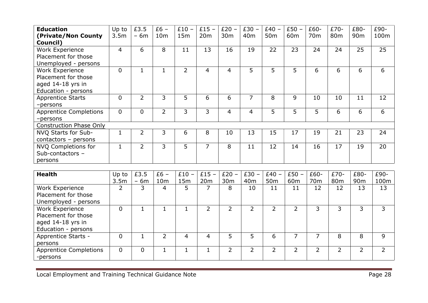| <b>Education</b>               | Up to            | £3.5           | $£6 -$          | $£10 -$        | $£15 -$         | $£20 -$         | $£30 -$         | $E40 -$         | $£50 -$         | £60-            | £70-            | £80-            | £90- |
|--------------------------------|------------------|----------------|-----------------|----------------|-----------------|-----------------|-----------------|-----------------|-----------------|-----------------|-----------------|-----------------|------|
| (Private/Non County            | 3.5 <sub>m</sub> | $-6m$          | 10 <sub>m</sub> | 15m            | 20 <sub>m</sub> | 30 <sub>m</sub> | 40 <sub>m</sub> | 50 <sub>m</sub> | 60 <sub>m</sub> | 70 <sub>m</sub> | 80 <sub>m</sub> | 90 <sub>m</sub> | 100m |
| Council)                       |                  |                |                 |                |                 |                 |                 |                 |                 |                 |                 |                 |      |
| Work Experience                | $\overline{4}$   | 6              | 8               | 11             | 13              | 16              | 19              | 22              | 23              | 24              | 24              | 25              | 25   |
| Placement for those            |                  |                |                 |                |                 |                 |                 |                 |                 |                 |                 |                 |      |
| Unemployed - persons           |                  |                |                 |                |                 |                 |                 |                 |                 |                 |                 |                 |      |
| Work Experience                | $\Omega$         |                |                 | $\overline{2}$ | $\overline{4}$  | $\overline{4}$  | 5               | 5               | 5               | 6               | 6               | 6               | 6    |
| Placement for those            |                  |                |                 |                |                 |                 |                 |                 |                 |                 |                 |                 |      |
| aged 14-18 yrs in              |                  |                |                 |                |                 |                 |                 |                 |                 |                 |                 |                 |      |
| Education - persons            |                  |                |                 |                |                 |                 |                 |                 |                 |                 |                 |                 |      |
| <b>Apprentice Starts</b>       | $\Omega$         | $\overline{2}$ | 3               | 5              | 6               | 6               | 7               | 8               | 9               | 10              | 10              | 11              | 12   |
| -persons                       |                  |                |                 |                |                 |                 |                 |                 |                 |                 |                 |                 |      |
| <b>Apprentice Completions</b>  | 0                | $\overline{0}$ | $\overline{2}$  | 3              | 3               | 4               | 4               | $5\overline{)}$ | 5               | 5               | 6               | 6               | 6    |
| -persons                       |                  |                |                 |                |                 |                 |                 |                 |                 |                 |                 |                 |      |
| <b>Construction Phase Only</b> |                  |                |                 |                |                 |                 |                 |                 |                 |                 |                 |                 |      |
| NVQ Starts for Sub-            |                  | $\overline{2}$ | 3               | 6              | 8               | 10              | 13              | 15              | 17              | 19              | 21              | 23              | 24   |
| $contactors - persons$         |                  |                |                 |                |                 |                 |                 |                 |                 |                 |                 |                 |      |
| <b>NVQ Completions for</b>     |                  | $\overline{2}$ | 3               | 5              | 7               | 8               | 11              | 12              | 14              | 16              | 17              | 19              | 20   |
| Sub-contactors -               |                  |                |                 |                |                 |                 |                 |                 |                 |                 |                 |                 |      |
| persons                        |                  |                |                 |                |                 |                 |                 |                 |                 |                 |                 |                 |      |

| <b>Health</b>                 | Up to | £3.5  | $£6 -$          | $£10 -$ | $£15 -$ | £20<br>$\overline{\phantom{m}}$ | $£30 -$         | $£40 -$         | $£50 -$         | £60-            | £70-            | £80-            | £90- |
|-------------------------------|-------|-------|-----------------|---------|---------|---------------------------------|-----------------|-----------------|-----------------|-----------------|-----------------|-----------------|------|
|                               | 3.5m  | $-6m$ | 10 <sub>m</sub> | 15m     | 20m     | 30 <sub>m</sub>                 | 40 <sub>m</sub> | 50 <sub>m</sub> | 60 <sub>m</sub> | 70 <sub>m</sub> | 80 <sub>m</sub> | 90 <sub>m</sub> | 100m |
| Work Experience               | ∍     | 3     | 4               | 5       |         | 8                               | 10              | 11              | 11              | 12              | 12              | 13              | 13   |
| Placement for those           |       |       |                 |         |         |                                 |                 |                 |                 |                 |                 |                 |      |
| Unemployed - persons          |       |       |                 |         |         |                                 |                 |                 |                 |                 |                 |                 |      |
| Work Experience               | 0     |       |                 |         |         |                                 |                 | 2               |                 |                 |                 | 3               | 3    |
| Placement for those           |       |       |                 |         |         |                                 |                 |                 |                 |                 |                 |                 |      |
| aged 14-18 yrs in             |       |       |                 |         |         |                                 |                 |                 |                 |                 |                 |                 |      |
| Education - persons           |       |       |                 |         |         |                                 |                 |                 |                 |                 |                 |                 |      |
| Apprentice Starts -           | 0     |       |                 | 4       | 4       | 5                               |                 | 6               |                 |                 | 8               | 8               | 9    |
| persons                       |       |       |                 |         |         |                                 |                 |                 |                 |                 |                 |                 |      |
| <b>Apprentice Completions</b> | 0     | 0     |                 |         |         |                                 |                 | フ               | フ               |                 |                 |                 |      |
| -persons                      |       |       |                 |         |         |                                 |                 |                 |                 |                 |                 |                 |      |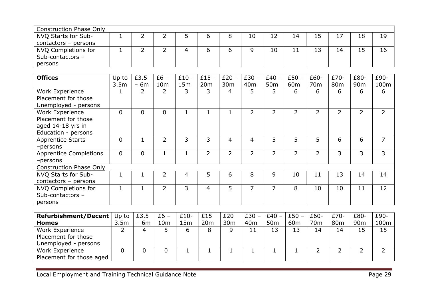| <b>Construction Phase Only</b> |   |  |   |    |    |     |    |    |    |    |
|--------------------------------|---|--|---|----|----|-----|----|----|----|----|
| NVQ Starts for Sub-            | - |  | 8 | 10 | 12 | 14  |    |    | 18 | 19 |
| $contactors - persons$         |   |  |   |    |    |     |    |    |    |    |
| NVQ Completions for            | - |  | O |    | 10 | . . | 13 | 14 | 15 | 16 |
| Sub-contactors -               |   |  |   |    |    |     |    |    |    |    |
| persons                        |   |  |   |    |    |     |    |    |    |    |

| Work Experience<br>Placement for those<br>Unemployed - persons | $\overline{2}$ | 2              | 3            |                |                |                | 50 <sub>m</sub> | 60 <sub>m</sub> | 70 <sub>m</sub> | 80 <sub>m</sub> | 90 <sub>m</sub> | 100m |
|----------------------------------------------------------------|----------------|----------------|--------------|----------------|----------------|----------------|-----------------|-----------------|-----------------|-----------------|-----------------|------|
|                                                                |                |                |              | 3              | 4              | 5              | 5               | 6               | 6               | 6               | 6               | 6    |
|                                                                |                |                |              |                |                |                |                 |                 |                 |                 |                 |      |
| 0<br><b>Work Experience</b><br>Placement for those             | 0              | 0              | $\mathbf{1}$ |                |                | $\overline{2}$ | $\overline{2}$  | $\overline{2}$  | $\overline{2}$  | $\overline{2}$  | $\overline{2}$  | 2    |
| aged 14-18 yrs in<br>Education - persons                       |                |                |              |                |                |                |                 |                 |                 |                 |                 |      |
| 0<br><b>Apprentice Starts</b><br>-persons                      | 1              | $\overline{2}$ | 3            | 3              | 4              | 4              | 5               | 5               | 5               | 6               | 6               | 7    |
| $\overline{0}$<br><b>Apprentice Completions</b><br>-persons    | $\overline{0}$ |                |              | $\overline{2}$ | $\overline{2}$ | 2              | 2               | $\overline{2}$  | 2               | 3               | 3               | 3    |
| <b>Construction Phase Only</b>                                 |                |                |              |                |                |                |                 |                 |                 |                 |                 |      |
| $\mathbf{1}$<br>NVQ Starts for Sub-<br>$contactors - persons$  | 1              | 2              | 4            | 5              | 6              | 8              | 9               | 10              | 11              | 13              | 14              | 14   |
| NVQ Completions for<br>Sub-contactors -<br>persons             | 1              | $\mathcal{P}$  | 3            | 4              | 5              | 7              | 7               | 8               | 10              | 10              | 11              | 12   |

| <b>Refurbishment/Decent</b> | Up to            | £3.5                                       | $£6 -$          | $£10-$ | £15 | £20             | $£30 -$         | $£40 -$         | $£50 -$         | £60-            | £70-            | £80-            | £90- |
|-----------------------------|------------------|--------------------------------------------|-----------------|--------|-----|-----------------|-----------------|-----------------|-----------------|-----------------|-----------------|-----------------|------|
| <b>Homes</b>                | 3.5 <sub>m</sub> | 6 <sub>m</sub><br>$\overline{\phantom{0}}$ | 10 <sub>m</sub> | L5m    | 20m | 30 <sub>m</sub> | 40 <sub>m</sub> | 50 <sub>m</sub> | 60 <sub>m</sub> | 70 <sub>m</sub> | 80 <sub>m</sub> | 90 <sub>m</sub> | 100m |
| <b>Work Experience</b>      | ←                |                                            |                 |        | 8   |                 | 11              | 13              | 13              | 14              | 14              | 15              | 15   |
| Placement for those         |                  |                                            |                 |        |     |                 |                 |                 |                 |                 |                 |                 |      |
| Unemployed - persons        |                  |                                            |                 |        |     |                 |                 |                 |                 |                 |                 |                 |      |
| Work Experience             |                  |                                            |                 |        |     |                 |                 |                 |                 |                 |                 |                 |      |
| Placement for those aged    |                  |                                            |                 |        |     |                 |                 |                 |                 |                 |                 |                 |      |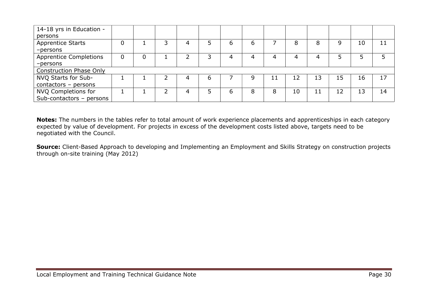| 14-18 yrs in Education -       |                |   |   |          |   |    |    |    |    |    |    |
|--------------------------------|----------------|---|---|----------|---|----|----|----|----|----|----|
| persons                        |                |   |   |          |   |    |    |    |    |    |    |
| <b>Apprentice Starts</b>       |                | っ |   | $\sigma$ | 6 |    | 8  | 8  | 9  | 10 | 11 |
| $-p$ ersons                    |                |   |   |          |   |    |    |    |    |    |    |
| <b>Apprentice Completions</b>  | $\overline{0}$ |   | 3 |          | 4 | 4  | 4  |    |    |    |    |
| $-p$ ersons                    |                |   |   |          |   |    |    |    |    |    |    |
| <b>Construction Phase Only</b> |                |   |   |          |   |    |    |    |    |    |    |
| NVQ Starts for Sub-            |                |   | 6 |          | g | 11 | 12 | 13 | 15 | 16 | 17 |
| $contactors - persons$         |                |   |   |          |   |    |    |    |    |    |    |
| NVQ Completions for            |                |   | 5 | 6        | 8 | 8  | 10 | 11 | 12 | 13 | 14 |
| Sub-contactors - persons       |                |   |   |          |   |    |    |    |    |    |    |

**Notes:** The numbers in the tables refer to total amount of work experience placements and apprenticeships in each category expected by value of development. For projects in excess of the development costs listed above, targets need to be negotiated with the Council.

**Source:** Client-Based Approach to developing and Implementing an Employment and Skills Strategy on construction projects through on-site training (May 2012)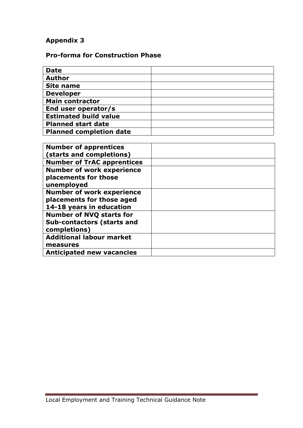## **Pro-forma for Construction Phase**

| <b>Date</b>                    |  |
|--------------------------------|--|
| <b>Author</b>                  |  |
| <b>Site name</b>               |  |
| <b>Developer</b>               |  |
| <b>Main contractor</b>         |  |
| End user operator/s            |  |
| <b>Estimated build value</b>   |  |
| <b>Planned start date</b>      |  |
| <b>Planned completion date</b> |  |

| <b>Number of apprentices</b><br>(starts and completions)                                  |  |
|-------------------------------------------------------------------------------------------|--|
| <b>Number of TrAC apprentices</b>                                                         |  |
| <b>Number of work experience</b><br>placements for those<br>unemployed                    |  |
| <b>Number of work experience</b><br>placements for those aged<br>14-18 years in education |  |
| <b>Number of NVQ starts for</b><br><b>Sub-contactors (starts and</b><br>completions)      |  |
| <b>Additional labour market</b><br>measures                                               |  |
| <b>Anticipated new vacancies</b>                                                          |  |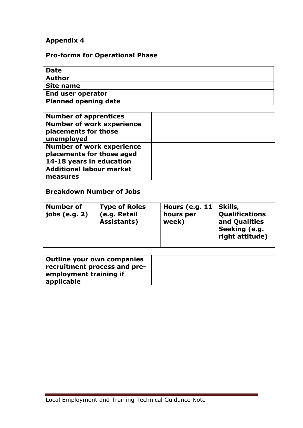## **Pro-forma for Operational Phase**

| <b>Date</b>                 |  |
|-----------------------------|--|
| <b>Author</b>               |  |
| <b>Site name</b>            |  |
| End user operator           |  |
| <b>Planned opening date</b> |  |

| <b>Number of apprentices</b>     |  |
|----------------------------------|--|
| <b>Number of work experience</b> |  |
| placements for those             |  |
| unemployed                       |  |
| <b>Number of work experience</b> |  |
| placements for those aged        |  |
| 14-18 years in education         |  |
| <b>Additional labour market</b>  |  |
| measures                         |  |

## **Breakdown Number of Jobs**

| <b>Number of</b><br>jobs (e.g. 2) | <b>Type of Roles</b><br>(e.g. Retail<br>Assistants) | Hours (e.g. $11$<br>hours per<br>week) | Skills,<br>Qualifications<br>and Qualities<br>Seeking (e.g.<br>right attitude) |
|-----------------------------------|-----------------------------------------------------|----------------------------------------|--------------------------------------------------------------------------------|
|                                   |                                                     |                                        |                                                                                |

| <b>Outline your own companies</b><br>recruitment process and pre- |  |
|-------------------------------------------------------------------|--|
| employment training if<br>applicable                              |  |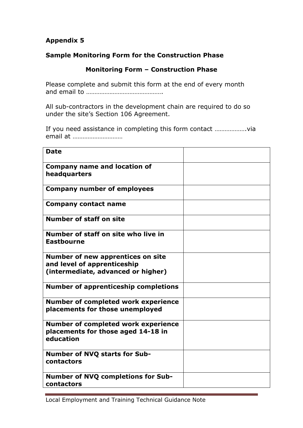## **Sample Monitoring Form for the Construction Phase**

## **Monitoring Form – Construction Phase**

Please complete and submit this form at the end of every month and email to ……………………………………….

All sub-contractors in the development chain are required to do so under the site's Section 106 Agreement.

If you need assistance in completing this form contact ……………….via email at …………………………

| <b>Date</b>                                                                                                   |  |
|---------------------------------------------------------------------------------------------------------------|--|
| <b>Company name and location of</b><br>headquarters                                                           |  |
| <b>Company number of employees</b>                                                                            |  |
| <b>Company contact name</b>                                                                                   |  |
| <b>Number of staff on site</b>                                                                                |  |
| Number of staff on site who live in<br><b>Eastbourne</b>                                                      |  |
| <b>Number of new apprentices on site</b><br>and level of apprenticeship<br>(intermediate, advanced or higher) |  |
| <b>Number of apprenticeship completions</b>                                                                   |  |
| <b>Number of completed work experience</b><br>placements for those unemployed                                 |  |
| <b>Number of completed work experience</b><br>placements for those aged 14-18 in<br>education                 |  |
| <b>Number of NVQ starts for Sub-</b><br>contactors                                                            |  |
| <b>Number of NVQ completions for Sub-</b><br>contactors                                                       |  |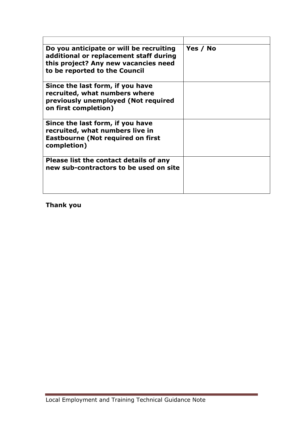| Do you anticipate or will be recruiting<br>additional or replacement staff during<br>this project? Any new vacancies need<br>to be reported to the Council | Yes / No |
|------------------------------------------------------------------------------------------------------------------------------------------------------------|----------|
| Since the last form, if you have<br>recruited, what numbers where<br>previously unemployed (Not required<br>on first completion)                           |          |
| Since the last form, if you have<br>recruited, what numbers live in<br><b>Eastbourne (Not required on first</b><br>completion)                             |          |
| Please list the contact details of any<br>new sub-contractors to be used on site                                                                           |          |

**Thank you**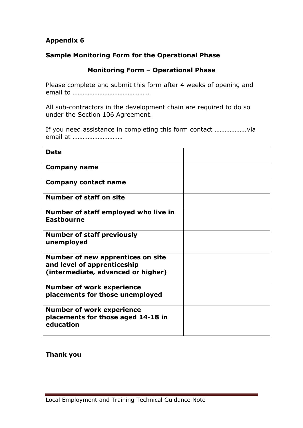## **Sample Monitoring Form for the Operational Phase**

## **Monitoring Form – Operational Phase**

Please complete and submit this form after 4 weeks of opening and email to ……………………………………….

All sub-contractors in the development chain are required to do so under the Section 106 Agreement.

If you need assistance in completing this form contact ……………….via email at …………………………

| <b>Date</b>                                                                                                   |  |
|---------------------------------------------------------------------------------------------------------------|--|
| Company name                                                                                                  |  |
| <b>Company contact name</b>                                                                                   |  |
| <b>Number of staff on site</b>                                                                                |  |
| Number of staff employed who live in<br><b>Eastbourne</b>                                                     |  |
| <b>Number of staff previously</b><br>unemployed                                                               |  |
| <b>Number of new apprentices on site</b><br>and level of apprenticeship<br>(intermediate, advanced or higher) |  |
| <b>Number of work experience</b><br>placements for those unemployed                                           |  |
| <b>Number of work experience</b><br>placements for those aged 14-18 in<br>education                           |  |

**Thank you**